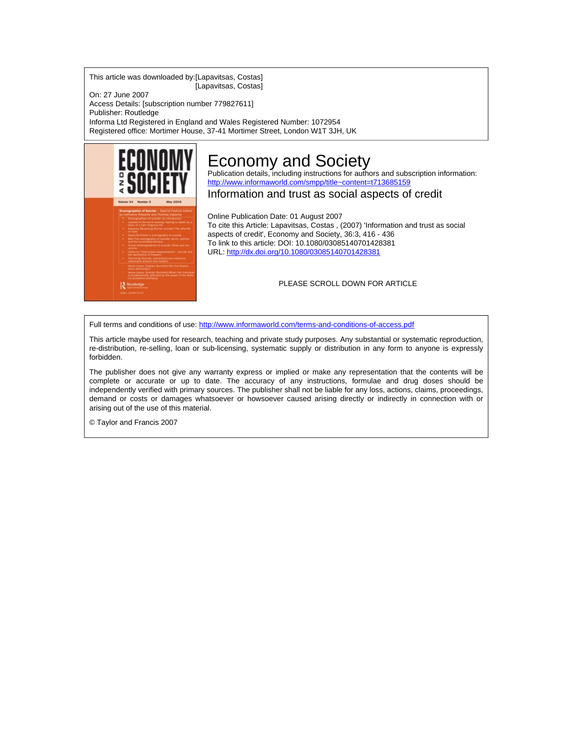This article was downloaded by:[Lapavitsas, Costas] [Lapavitsas, Costas] On: 27 June 2007 Access Details: [subscription number 779827611]

Publisher: Routledge Informa Ltd Registered in England and Wales Registered Number: 1072954 Registered office: Mortimer House, 37-41 Mortimer Street, London W1T 3JH, UK



# Economy and Society

Publication details, including instructions for authors and subscription information: <http://www.informaworld.com/smpp/title~content=t713685159>

Information and trust as social aspects of credit

Online Publication Date: 01 August 2007 To cite this Article: Lapavitsas, Costas , (2007) 'Information and trust as social aspects of credit', Economy and Society, 36:3, 416 - 436 To link to this article: DOI: 10.1080/03085140701428381 URL: <http://dx.doi.org/10.1080/03085140701428381>

# PLEASE SCROLL DOWN FOR ARTICLE

Full terms and conditions of use: <http://www.informaworld.com/terms-and-conditions-of-access.pdf>

This article maybe used for research, teaching and private study purposes. Any substantial or systematic reproduction, re-distribution, re-selling, loan or sub-licensing, systematic supply or distribution in any form to anyone is expressly forbidden.

The publisher does not give any warranty express or implied or make any representation that the contents will be complete or accurate or up to date. The accuracy of any instructions, formulae and drug doses should be independently verified with primary sources. The publisher shall not be liable for any loss, actions, claims, proceedings, demand or costs or damages whatsoever or howsoever caused arising directly or indirectly in connection with or arising out of the use of this material.

© Taylor and Francis 2007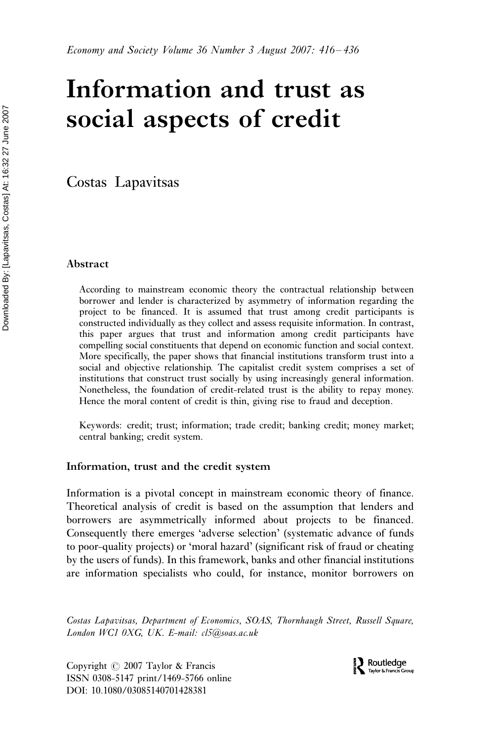# Information and trust as social aspects of credit

Costas Lapavitsas

#### Abstract

According to mainstream economic theory the contractual relationship between borrower and lender is characterized by asymmetry of information regarding the project to be financed. It is assumed that trust among credit participants is constructed individually as they collect and assess requisite information. In contrast, this paper argues that trust and information among credit participants have compelling social constituents that depend on economic function and social context. More specifically, the paper shows that financial institutions transform trust into a social and objective relationship. The capitalist credit system comprises a set of institutions that construct trust socially by using increasingly general information. Nonetheless, the foundation of credit-related trust is the ability to repay money. Hence the moral content of credit is thin, giving rise to fraud and deception.

Keywords: credit; trust; information; trade credit; banking credit; money market; central banking; credit system.

# Information, trust and the credit system

Information is a pivotal concept in mainstream economic theory of finance. Theoretical analysis of credit is based on the assumption that lenders and borrowers are asymmetrically informed about projects to be financed. Consequently there emerges 'adverse selection' (systematic advance of funds to poor-quality projects) or 'moral hazard' (significant risk of fraud or cheating by the users of funds). In this framework, banks and other financial institutions are information specialists who could, for instance, monitor borrowers on

Costas Lapavitsas, Department of Economics, SOAS, Thornhaugh Street, Russell Square, London WC1 0XG, UK. E-mail: cl5@soas.ac.uk

Copyright  $\odot$  2007 Taylor & Francis ISSN 0308-5147 print/1469-5766 online DOI: 10.1080/03085140701428381

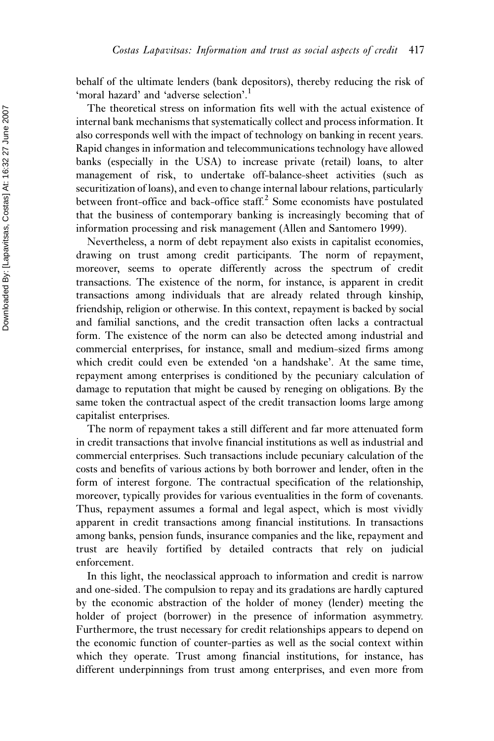behalf of the ultimate lenders (bank depositors), thereby reducing the risk of 'moral hazard' and 'adverse selection'.<sup>1</sup>

The theoretical stress on information fits well with the actual existence of internal bank mechanisms that systematically collect and process information. It also corresponds well with the impact of technology on banking in recent years. Rapid changes in information and telecommunications technology have allowed banks (especially in the USA) to increase private (retail) loans, to alter management of risk, to undertake off-balance-sheet activities (such as securitization of loans), and even to change internal labour relations, particularly between front-office and back-office staff.<sup>2</sup> Some economists have postulated that the business of contemporary banking is increasingly becoming that of information processing and risk management (Allen and Santomero 1999).

Nevertheless, a norm of debt repayment also exists in capitalist economies, drawing on trust among credit participants. The norm of repayment, moreover, seems to operate differently across the spectrum of credit transactions. The existence of the norm, for instance, is apparent in credit transactions among individuals that are already related through kinship, friendship, religion or otherwise. In this context, repayment is backed by social and familial sanctions, and the credit transaction often lacks a contractual form. The existence of the norm can also be detected among industrial and commercial enterprises, for instance, small and medium-sized firms among which credit could even be extended 'on a handshake'. At the same time, repayment among enterprises is conditioned by the pecuniary calculation of damage to reputation that might be caused by reneging on obligations. By the same token the contractual aspect of the credit transaction looms large among capitalist enterprises.

The norm of repayment takes a still different and far more attenuated form in credit transactions that involve financial institutions as well as industrial and commercial enterprises. Such transactions include pecuniary calculation of the costs and benefits of various actions by both borrower and lender, often in the form of interest forgone. The contractual specification of the relationship, moreover, typically provides for various eventualities in the form of covenants. Thus, repayment assumes a formal and legal aspect, which is most vividly apparent in credit transactions among financial institutions. In transactions among banks, pension funds, insurance companies and the like, repayment and trust are heavily fortified by detailed contracts that rely on judicial enforcement.

In this light, the neoclassical approach to information and credit is narrow and one-sided. The compulsion to repay and its gradations are hardly captured by the economic abstraction of the holder of money (lender) meeting the holder of project (borrower) in the presence of information asymmetry. Furthermore, the trust necessary for credit relationships appears to depend on the economic function of counter-parties as well as the social context within which they operate. Trust among financial institutions, for instance, has different underpinnings from trust among enterprises, and even more from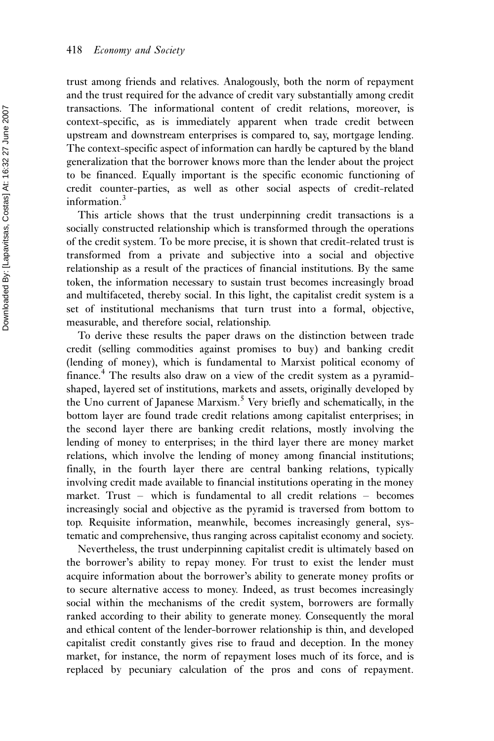trust among friends and relatives. Analogously, both the norm of repayment and the trust required for the advance of credit vary substantially among credit transactions. The informational content of credit relations, moreover, is context-specific, as is immediately apparent when trade credit between upstream and downstream enterprises is compared to, say, mortgage lending. The context-specific aspect of information can hardly be captured by the bland generalization that the borrower knows more than the lender about the project to be financed. Equally important is the specific economic functioning of credit counter-parties, as well as other social aspects of credit-related information.<sup>3</sup>

This article shows that the trust underpinning credit transactions is a socially constructed relationship which is transformed through the operations of the credit system. To be more precise, it is shown that credit-related trust is transformed from a private and subjective into a social and objective relationship as a result of the practices of financial institutions. By the same token, the information necessary to sustain trust becomes increasingly broad and multifaceted, thereby social. In this light, the capitalist credit system is a set of institutional mechanisms that turn trust into a formal, objective, measurable, and therefore social, relationship.

To derive these results the paper draws on the distinction between trade credit (selling commodities against promises to buy) and banking credit (lending of money), which is fundamental to Marxist political economy of finance.<sup>4</sup> The results also draw on a view of the credit system as a pyramidshaped, layered set of institutions, markets and assets, originally developed by the Uno current of Japanese Marxism.<sup>5</sup> Very briefly and schematically, in the bottom layer are found trade credit relations among capitalist enterprises; in the second layer there are banking credit relations, mostly involving the lending of money to enterprises; in the third layer there are money market relations, which involve the lending of money among financial institutions; finally, in the fourth layer there are central banking relations, typically involving credit made available to financial institutions operating in the money market. Trust  $-$  which is fundamental to all credit relations  $-$  becomes increasingly social and objective as the pyramid is traversed from bottom to top. Requisite information, meanwhile, becomes increasingly general, systematic and comprehensive, thus ranging across capitalist economy and society.

Nevertheless, the trust underpinning capitalist credit is ultimately based on the borrower's ability to repay money. For trust to exist the lender must acquire information about the borrower's ability to generate money profits or to secure alternative access to money. Indeed, as trust becomes increasingly social within the mechanisms of the credit system, borrowers are formally ranked according to their ability to generate money. Consequently the moral and ethical content of the lender-borrower relationship is thin, and developed capitalist credit constantly gives rise to fraud and deception. In the money market, for instance, the norm of repayment loses much of its force, and is replaced by pecuniary calculation of the pros and cons of repayment.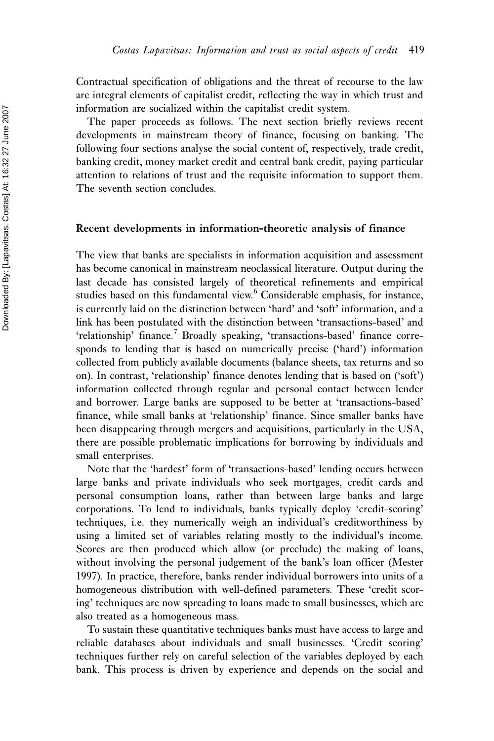Contractual specification of obligations and the threat of recourse to the law are integral elements of capitalist credit, reflecting the way in which trust and information are socialized within the capitalist credit system.

The paper proceeds as follows. The next section briefly reviews recent developments in mainstream theory of finance, focusing on banking. The following four sections analyse the social content of, respectively, trade credit, banking credit, money market credit and central bank credit, paying particular attention to relations of trust and the requisite information to support them. The seventh section concludes.

## Recent developments in information-theoretic analysis of finance

The view that banks are specialists in information acquisition and assessment has become canonical in mainstream neoclassical literature. Output during the last decade has consisted largely of theoretical refinements and empirical studies based on this fundamental view.<sup>6</sup> Considerable emphasis, for instance, is currently laid on the distinction between 'hard' and 'soft' information, and a link has been postulated with the distinction between 'transactions-based' and 'relationship' finance.<sup>7</sup> Broadly speaking, 'transactions-based' finance corresponds to lending that is based on numerically precise ('hard') information collected from publicly available documents (balance sheets, tax returns and so on). In contrast, 'relationship' finance denotes lending that is based on ('soft') information collected through regular and personal contact between lender and borrower. Large banks are supposed to be better at 'transactions-based' finance, while small banks at 'relationship' finance. Since smaller banks have been disappearing through mergers and acquisitions, particularly in the USA, there are possible problematic implications for borrowing by individuals and small enterprises.

Note that the 'hardest' form of 'transactions-based' lending occurs between large banks and private individuals who seek mortgages, credit cards and personal consumption loans, rather than between large banks and large corporations. To lend to individuals, banks typically deploy 'credit-scoring' techniques, i.e. they numerically weigh an individual's creditworthiness by using a limited set of variables relating mostly to the individual's income. Scores are then produced which allow (or preclude) the making of loans, without involving the personal judgement of the bank's loan officer (Mester 1997). In practice, therefore, banks render individual borrowers into units of a homogeneous distribution with well-defined parameters. These 'credit scoring' techniques are now spreading to loans made to small businesses, which are also treated as a homogeneous mass.

To sustain these quantitative techniques banks must have access to large and reliable databases about individuals and small businesses. 'Credit scoring' techniques further rely on careful selection of the variables deployed by each bank. This process is driven by experience and depends on the social and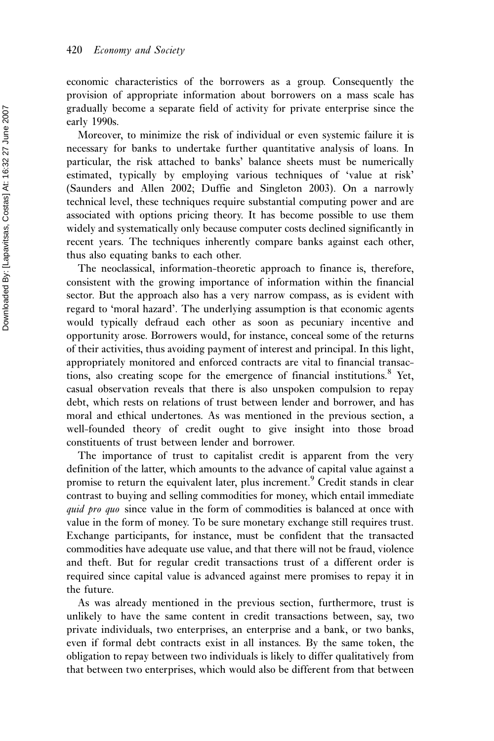economic characteristics of the borrowers as a group. Consequently the provision of appropriate information about borrowers on a mass scale has gradually become a separate field of activity for private enterprise since the early 1990s.

Moreover, to minimize the risk of individual or even systemic failure it is necessary for banks to undertake further quantitative analysis of loans. In particular, the risk attached to banks' balance sheets must be numerically estimated, typically by employing various techniques of 'value at risk' (Saunders and Allen 2002; Duffie and Singleton 2003). On a narrowly technical level, these techniques require substantial computing power and are associated with options pricing theory. It has become possible to use them widely and systematically only because computer costs declined significantly in recent years. The techniques inherently compare banks against each other, thus also equating banks to each other.

The neoclassical, information-theoretic approach to finance is, therefore, consistent with the growing importance of information within the financial sector. But the approach also has a very narrow compass, as is evident with regard to 'moral hazard'. The underlying assumption is that economic agents would typically defraud each other as soon as pecuniary incentive and opportunity arose. Borrowers would, for instance, conceal some of the returns of their activities, thus avoiding payment of interest and principal. In this light, appropriately monitored and enforced contracts are vital to financial transactions, also creating scope for the emergence of financial institutions.<sup>8</sup> Yet, casual observation reveals that there is also unspoken compulsion to repay debt, which rests on relations of trust between lender and borrower, and has moral and ethical undertones. As was mentioned in the previous section, a well-founded theory of credit ought to give insight into those broad constituents of trust between lender and borrower.

The importance of trust to capitalist credit is apparent from the very definition of the latter, which amounts to the advance of capital value against a promise to return the equivalent later, plus increment.<sup>9</sup> Credit stands in clear contrast to buying and selling commodities for money, which entail immediate quid pro quo since value in the form of commodities is balanced at once with value in the form of money. To be sure monetary exchange still requires trust. Exchange participants, for instance, must be confident that the transacted commodities have adequate use value, and that there will not be fraud, violence and theft. But for regular credit transactions trust of a different order is required since capital value is advanced against mere promises to repay it in the future.

As was already mentioned in the previous section, furthermore, trust is unlikely to have the same content in credit transactions between, say, two private individuals, two enterprises, an enterprise and a bank, or two banks, even if formal debt contracts exist in all instances. By the same token, the obligation to repay between two individuals is likely to differ qualitatively from that between two enterprises, which would also be different from that between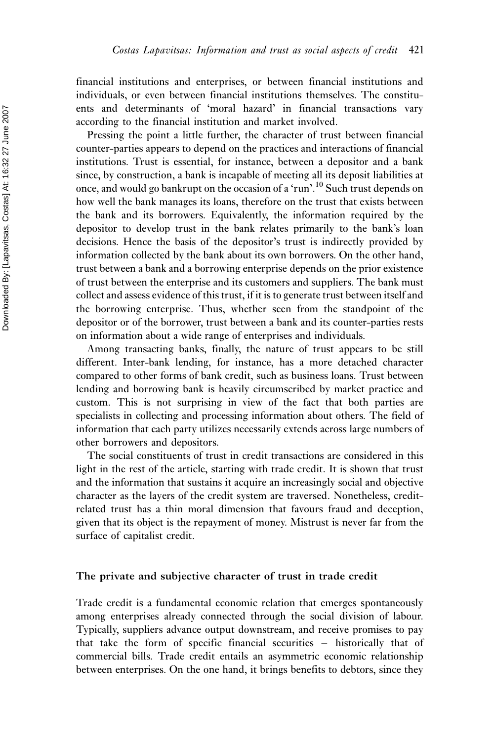financial institutions and enterprises, or between financial institutions and individuals, or even between financial institutions themselves. The constituents and determinants of 'moral hazard' in financial transactions vary according to the financial institution and market involved.

Pressing the point a little further, the character of trust between financial counter-parties appears to depend on the practices and interactions of financial institutions. Trust is essential, for instance, between a depositor and a bank since, by construction, a bank is incapable of meeting all its deposit liabilities at once, and would go bankrupt on the occasion of a 'run'.10 Such trust depends on how well the bank manages its loans, therefore on the trust that exists between the bank and its borrowers. Equivalently, the information required by the depositor to develop trust in the bank relates primarily to the bank's loan decisions. Hence the basis of the depositor's trust is indirectly provided by information collected by the bank about its own borrowers. On the other hand, trust between a bank and a borrowing enterprise depends on the prior existence of trust between the enterprise and its customers and suppliers. The bank must collect and assess evidence of this trust, if it is to generate trust between itself and the borrowing enterprise. Thus, whether seen from the standpoint of the depositor or of the borrower, trust between a bank and its counter-parties rests on information about a wide range of enterprises and individuals.

Among transacting banks, finally, the nature of trust appears to be still different. Inter-bank lending, for instance, has a more detached character compared to other forms of bank credit, such as business loans. Trust between lending and borrowing bank is heavily circumscribed by market practice and custom. This is not surprising in view of the fact that both parties are specialists in collecting and processing information about others. The field of information that each party utilizes necessarily extends across large numbers of other borrowers and depositors.

The social constituents of trust in credit transactions are considered in this light in the rest of the article, starting with trade credit. It is shown that trust and the information that sustains it acquire an increasingly social and objective character as the layers of the credit system are traversed. Nonetheless, creditrelated trust has a thin moral dimension that favours fraud and deception, given that its object is the repayment of money. Mistrust is never far from the surface of capitalist credit.

# The private and subjective character of trust in trade credit

Trade credit is a fundamental economic relation that emerges spontaneously among enterprises already connected through the social division of labour. Typically, suppliers advance output downstream, and receive promises to pay that take the form of specific financial securities  $-$  historically that of commercial bills. Trade credit entails an asymmetric economic relationship between enterprises. On the one hand, it brings benefits to debtors, since they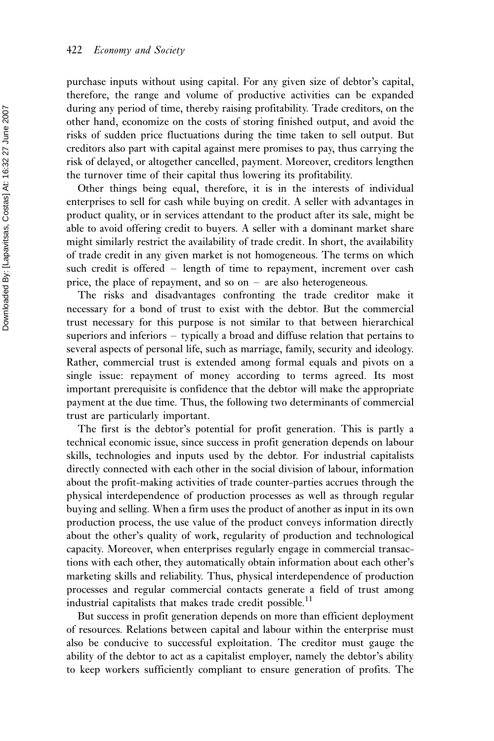purchase inputs without using capital. For any given size of debtor's capital, therefore, the range and volume of productive activities can be expanded during any period of time, thereby raising profitability. Trade creditors, on the other hand, economize on the costs of storing finished output, and avoid the risks of sudden price fluctuations during the time taken to sell output. But creditors also part with capital against mere promises to pay, thus carrying the risk of delayed, or altogether cancelled, payment. Moreover, creditors lengthen the turnover time of their capital thus lowering its profitability.

Other things being equal, therefore, it is in the interests of individual enterprises to sell for cash while buying on credit. A seller with advantages in product quality, or in services attendant to the product after its sale, might be able to avoid offering credit to buyers. A seller with a dominant market share might similarly restrict the availability of trade credit. In short, the availability of trade credit in any given market is not homogeneous. The terms on which such credit is offered  $-$  length of time to repayment, increment over cash price, the place of repayment, and so on  $-$  are also heterogeneous.

The risks and disadvantages confronting the trade creditor make it necessary for a bond of trust to exist with the debtor. But the commercial trust necessary for this purpose is not similar to that between hierarchical superiors and inferiors - typically a broad and diffuse relation that pertains to several aspects of personal life, such as marriage, family, security and ideology. Rather, commercial trust is extended among formal equals and pivots on a single issue: repayment of money according to terms agreed. Its most important prerequisite is confidence that the debtor will make the appropriate payment at the due time. Thus, the following two determinants of commercial trust are particularly important.

The first is the debtor's potential for profit generation. This is partly a technical economic issue, since success in profit generation depends on labour skills, technologies and inputs used by the debtor. For industrial capitalists directly connected with each other in the social division of labour, information about the profit-making activities of trade counter-parties accrues through the physical interdependence of production processes as well as through regular buying and selling. When a firm uses the product of another as input in its own production process, the use value of the product conveys information directly about the other's quality of work, regularity of production and technological capacity. Moreover, when enterprises regularly engage in commercial transactions with each other, they automatically obtain information about each other's marketing skills and reliability. Thus, physical interdependence of production processes and regular commercial contacts generate a field of trust among industrial capitalists that makes trade credit possible.<sup>11</sup>

But success in profit generation depends on more than efficient deployment of resources. Relations between capital and labour within the enterprise must also be conducive to successful exploitation. The creditor must gauge the ability of the debtor to act as a capitalist employer, namely the debtor's ability to keep workers sufficiently compliant to ensure generation of profits. The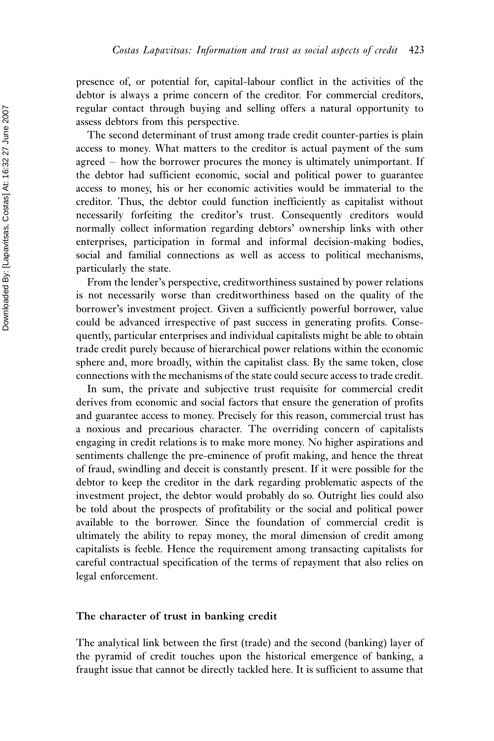presence of, or potential for, capital-labour conflict in the activities of the debtor is always a prime concern of the creditor. For commercial creditors, regular contact through buying and selling offers a natural opportunity to assess debtors from this perspective.

The second determinant of trust among trade credit counter-parties is plain access to money. What matters to the creditor is actual payment of the sum agreed – how the borrower procures the money is ultimately unimportant. If the debtor had sufficient economic, social and political power to guarantee access to money, his or her economic activities would be immaterial to the creditor. Thus, the debtor could function inefficiently as capitalist without necessarily forfeiting the creditor's trust. Consequently creditors would normally collect information regarding debtors' ownership links with other enterprises, participation in formal and informal decision-making bodies, social and familial connections as well as access to political mechanisms, particularly the state.

From the lender's perspective, creditworthiness sustained by power relations is not necessarily worse than creditworthiness based on the quality of the borrower's investment project. Given a sufficiently powerful borrower, value could be advanced irrespective of past success in generating profits. Consequently, particular enterprises and individual capitalists might be able to obtain trade credit purely because of hierarchical power relations within the economic sphere and, more broadly, within the capitalist class. By the same token, close connections with the mechanisms of the state could secure access to trade credit.

In sum, the private and subjective trust requisite for commercial credit derives from economic and social factors that ensure the generation of profits and guarantee access to money. Precisely for this reason, commercial trust has a noxious and precarious character. The overriding concern of capitalists engaging in credit relations is to make more money. No higher aspirations and sentiments challenge the pre-eminence of profit making, and hence the threat of fraud, swindling and deceit is constantly present. If it were possible for the debtor to keep the creditor in the dark regarding problematic aspects of the investment project, the debtor would probably do so. Outright lies could also be told about the prospects of profitability or the social and political power available to the borrower. Since the foundation of commercial credit is ultimately the ability to repay money, the moral dimension of credit among capitalists is feeble. Hence the requirement among transacting capitalists for careful contractual specification of the terms of repayment that also relies on legal enforcement.

# The character of trust in banking credit

The analytical link between the first (trade) and the second (banking) layer of the pyramid of credit touches upon the historical emergence of banking, a fraught issue that cannot be directly tackled here. It is sufficient to assume that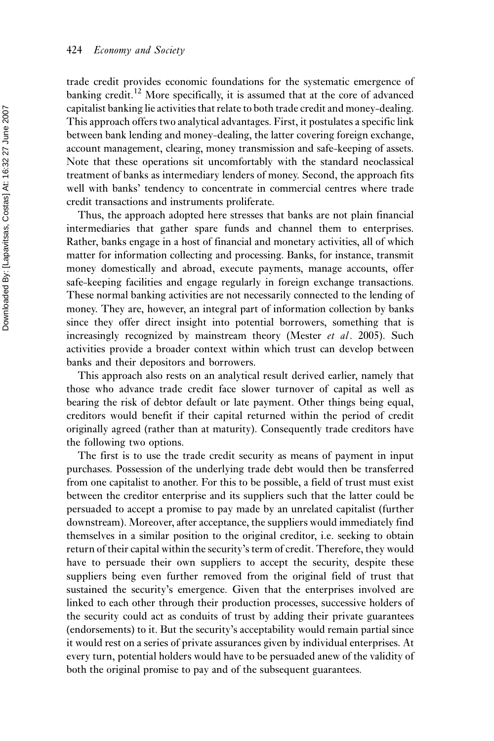trade credit provides economic foundations for the systematic emergence of banking credit.<sup>12</sup> More specifically, it is assumed that at the core of advanced capitalist banking lie activities that relate to both trade credit and money-dealing. This approach offers two analytical advantages. First, it postulates a specific link between bank lending and money-dealing, the latter covering foreign exchange, account management, clearing, money transmission and safe-keeping of assets. Note that these operations sit uncomfortably with the standard neoclassical treatment of banks as intermediary lenders of money. Second, the approach fits well with banks' tendency to concentrate in commercial centres where trade credit transactions and instruments proliferate.

Thus, the approach adopted here stresses that banks are not plain financial intermediaries that gather spare funds and channel them to enterprises. Rather, banks engage in a host of financial and monetary activities, all of which matter for information collecting and processing. Banks, for instance, transmit money domestically and abroad, execute payments, manage accounts, offer safe-keeping facilities and engage regularly in foreign exchange transactions. These normal banking activities are not necessarily connected to the lending of money. They are, however, an integral part of information collection by banks since they offer direct insight into potential borrowers, something that is increasingly recognized by mainstream theory (Mester et al. 2005). Such activities provide a broader context within which trust can develop between banks and their depositors and borrowers.

This approach also rests on an analytical result derived earlier, namely that those who advance trade credit face slower turnover of capital as well as bearing the risk of debtor default or late payment. Other things being equal, creditors would benefit if their capital returned within the period of credit originally agreed (rather than at maturity). Consequently trade creditors have the following two options.

The first is to use the trade credit security as means of payment in input purchases. Possession of the underlying trade debt would then be transferred from one capitalist to another. For this to be possible, a field of trust must exist between the creditor enterprise and its suppliers such that the latter could be persuaded to accept a promise to pay made by an unrelated capitalist (further downstream). Moreover, after acceptance, the suppliers would immediately find themselves in a similar position to the original creditor, i.e. seeking to obtain return of their capital within the security's term of credit. Therefore, they would have to persuade their own suppliers to accept the security, despite these suppliers being even further removed from the original field of trust that sustained the security's emergence. Given that the enterprises involved are linked to each other through their production processes, successive holders of the security could act as conduits of trust by adding their private guarantees (endorsements) to it. But the security's acceptability would remain partial since it would rest on a series of private assurances given by individual enterprises. At every turn, potential holders would have to be persuaded anew of the validity of both the original promise to pay and of the subsequent guarantees.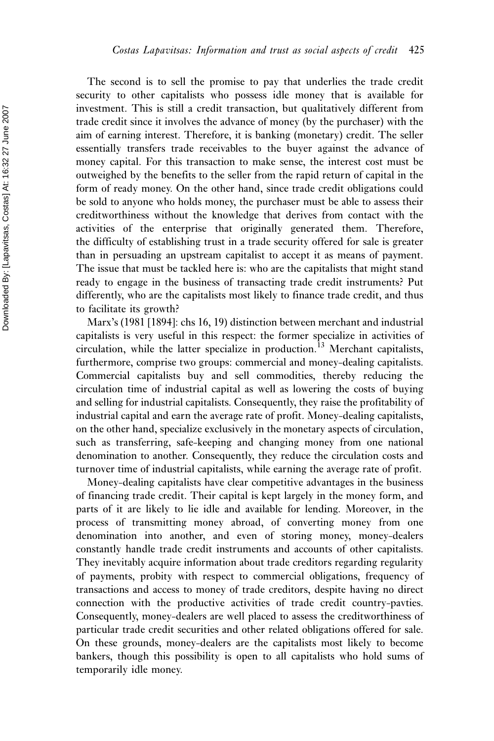The second is to sell the promise to pay that underlies the trade credit security to other capitalists who possess idle money that is available for investment. This is still a credit transaction, but qualitatively different from trade credit since it involves the advance of money (by the purchaser) with the aim of earning interest. Therefore, it is banking (monetary) credit. The seller essentially transfers trade receivables to the buyer against the advance of money capital. For this transaction to make sense, the interest cost must be outweighed by the benefits to the seller from the rapid return of capital in the form of ready money. On the other hand, since trade credit obligations could be sold to anyone who holds money, the purchaser must be able to assess their creditworthiness without the knowledge that derives from contact with the activities of the enterprise that originally generated them. Therefore, the difficulty of establishing trust in a trade security offered for sale is greater than in persuading an upstream capitalist to accept it as means of payment. The issue that must be tackled here is: who are the capitalists that might stand ready to engage in the business of transacting trade credit instruments? Put differently, who are the capitalists most likely to finance trade credit, and thus to facilitate its growth?

Marx's (1981 [1894]: chs 16, 19) distinction between merchant and industrial capitalists is very useful in this respect: the former specialize in activities of circulation, while the latter specialize in production.<sup>13</sup> Merchant capitalists, furthermore, comprise two groups: commercial and money-dealing capitalists. Commercial capitalists buy and sell commodities, thereby reducing the circulation time of industrial capital as well as lowering the costs of buying and selling for industrial capitalists. Consequently, they raise the profitability of industrial capital and earn the average rate of profit. Money-dealing capitalists, on the other hand, specialize exclusively in the monetary aspects of circulation, such as transferring, safe-keeping and changing money from one national denomination to another. Consequently, they reduce the circulation costs and turnover time of industrial capitalists, while earning the average rate of profit.

Money-dealing capitalists have clear competitive advantages in the business of financing trade credit. Their capital is kept largely in the money form, and parts of it are likely to lie idle and available for lending. Moreover, in the process of transmitting money abroad, of converting money from one denomination into another, and even of storing money, money-dealers constantly handle trade credit instruments and accounts of other capitalists. They inevitably acquire information about trade creditors regarding regularity of payments, probity with respect to commercial obligations, frequency of transactions and access to money of trade creditors, despite having no direct connection with the productive activities of trade credit country-pavties. Consequently, money-dealers are well placed to assess the creditworthiness of particular trade credit securities and other related obligations offered for sale. On these grounds, money-dealers are the capitalists most likely to become bankers, though this possibility is open to all capitalists who hold sums of temporarily idle money.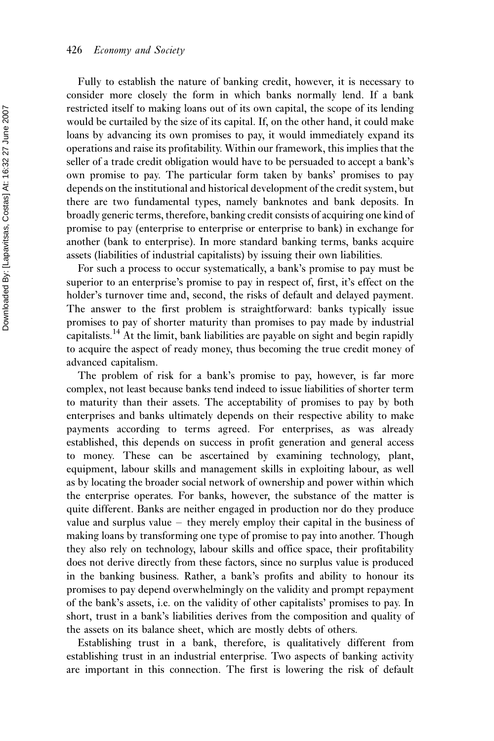Fully to establish the nature of banking credit, however, it is necessary to consider more closely the form in which banks normally lend. If a bank restricted itself to making loans out of its own capital, the scope of its lending would be curtailed by the size of its capital. If, on the other hand, it could make loans by advancing its own promises to pay, it would immediately expand its operations and raise its profitability. Within our framework, this implies that the seller of a trade credit obligation would have to be persuaded to accept a bank's own promise to pay. The particular form taken by banks' promises to pay depends on the institutional and historical development of the credit system, but there are two fundamental types, namely banknotes and bank deposits. In broadly generic terms, therefore, banking credit consists of acquiring one kind of promise to pay (enterprise to enterprise or enterprise to bank) in exchange for another (bank to enterprise). In more standard banking terms, banks acquire assets (liabilities of industrial capitalists) by issuing their own liabilities.

For such a process to occur systematically, a bank's promise to pay must be superior to an enterprise's promise to pay in respect of, first, it's effect on the holder's turnover time and, second, the risks of default and delayed payment. The answer to the first problem is straightforward: banks typically issue promises to pay of shorter maturity than promises to pay made by industrial capitalists.<sup>14</sup> At the limit, bank liabilities are payable on sight and begin rapidly to acquire the aspect of ready money, thus becoming the true credit money of advanced capitalism.

The problem of risk for a bank's promise to pay, however, is far more complex, not least because banks tend indeed to issue liabilities of shorter term to maturity than their assets. The acceptability of promises to pay by both enterprises and banks ultimately depends on their respective ability to make payments according to terms agreed. For enterprises, as was already established, this depends on success in profit generation and general access to money. These can be ascertained by examining technology, plant, equipment, labour skills and management skills in exploiting labour, as well as by locating the broader social network of ownership and power within which the enterprise operates. For banks, however, the substance of the matter is quite different. Banks are neither engaged in production nor do they produce value and surplus value  $-$  they merely employ their capital in the business of making loans by transforming one type of promise to pay into another. Though they also rely on technology, labour skills and office space, their profitability does not derive directly from these factors, since no surplus value is produced in the banking business. Rather, a bank's profits and ability to honour its promises to pay depend overwhelmingly on the validity and prompt repayment of the bank's assets, i.e. on the validity of other capitalists' promises to pay. In short, trust in a bank's liabilities derives from the composition and quality of the assets on its balance sheet, which are mostly debts of others.

Establishing trust in a bank, therefore, is qualitatively different from establishing trust in an industrial enterprise. Two aspects of banking activity are important in this connection. The first is lowering the risk of default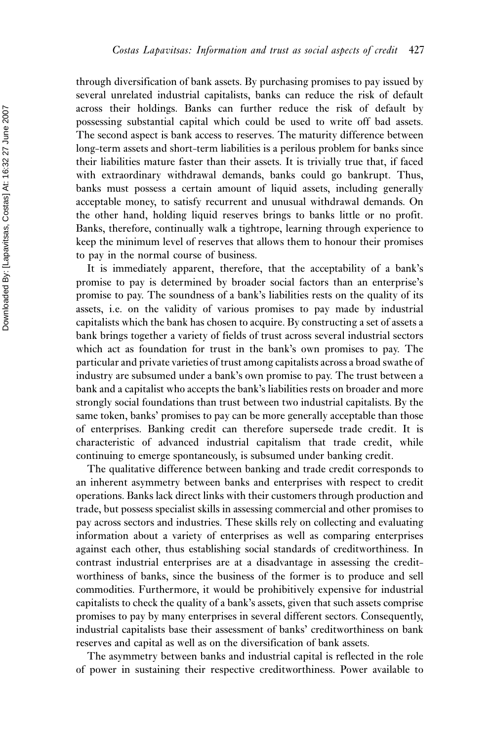through diversification of bank assets. By purchasing promises to pay issued by several unrelated industrial capitalists, banks can reduce the risk of default across their holdings. Banks can further reduce the risk of default by possessing substantial capital which could be used to write off bad assets. The second aspect is bank access to reserves. The maturity difference between long-term assets and short-term liabilities is a perilous problem for banks since their liabilities mature faster than their assets. It is trivially true that, if faced with extraordinary withdrawal demands, banks could go bankrupt. Thus, banks must possess a certain amount of liquid assets, including generally acceptable money, to satisfy recurrent and unusual withdrawal demands. On the other hand, holding liquid reserves brings to banks little or no profit. Banks, therefore, continually walk a tightrope, learning through experience to keep the minimum level of reserves that allows them to honour their promises to pay in the normal course of business.

It is immediately apparent, therefore, that the acceptability of a bank's promise to pay is determined by broader social factors than an enterprise's promise to pay. The soundness of a bank's liabilities rests on the quality of its assets, i.e. on the validity of various promises to pay made by industrial capitalists which the bank has chosen to acquire. By constructing a set of assets a bank brings together a variety of fields of trust across several industrial sectors which act as foundation for trust in the bank's own promises to pay. The particular and private varieties of trust among capitalists across a broad swathe of industry are subsumed under a bank's own promise to pay. The trust between a bank and a capitalist who accepts the bank's liabilities rests on broader and more strongly social foundations than trust between two industrial capitalists. By the same token, banks' promises to pay can be more generally acceptable than those of enterprises. Banking credit can therefore supersede trade credit. It is characteristic of advanced industrial capitalism that trade credit, while continuing to emerge spontaneously, is subsumed under banking credit.

The qualitative difference between banking and trade credit corresponds to an inherent asymmetry between banks and enterprises with respect to credit operations. Banks lack direct links with their customers through production and trade, but possess specialist skills in assessing commercial and other promises to pay across sectors and industries. These skills rely on collecting and evaluating information about a variety of enterprises as well as comparing enterprises against each other, thus establishing social standards of creditworthiness. In contrast industrial enterprises are at a disadvantage in assessing the creditworthiness of banks, since the business of the former is to produce and sell commodities. Furthermore, it would be prohibitively expensive for industrial capitalists to check the quality of a bank's assets, given that such assets comprise promises to pay by many enterprises in several different sectors. Consequently, industrial capitalists base their assessment of banks' creditworthiness on bank reserves and capital as well as on the diversification of bank assets.

The asymmetry between banks and industrial capital is reflected in the role of power in sustaining their respective creditworthiness. Power available to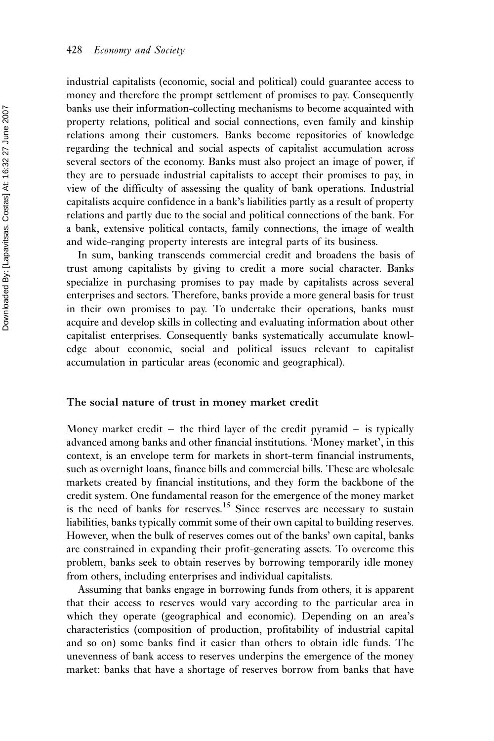industrial capitalists (economic, social and political) could guarantee access to money and therefore the prompt settlement of promises to pay. Consequently banks use their information-collecting mechanisms to become acquainted with property relations, political and social connections, even family and kinship relations among their customers. Banks become repositories of knowledge regarding the technical and social aspects of capitalist accumulation across several sectors of the economy. Banks must also project an image of power, if they are to persuade industrial capitalists to accept their promises to pay, in view of the difficulty of assessing the quality of bank operations. Industrial capitalists acquire confidence in a bank's liabilities partly as a result of property relations and partly due to the social and political connections of the bank. For a bank, extensive political contacts, family connections, the image of wealth and wide-ranging property interests are integral parts of its business.

In sum, banking transcends commercial credit and broadens the basis of trust among capitalists by giving to credit a more social character. Banks specialize in purchasing promises to pay made by capitalists across several enterprises and sectors. Therefore, banks provide a more general basis for trust in their own promises to pay. To undertake their operations, banks must acquire and develop skills in collecting and evaluating information about other capitalist enterprises. Consequently banks systematically accumulate knowledge about economic, social and political issues relevant to capitalist accumulation in particular areas (economic and geographical).

#### The social nature of trust in money market credit

Money market credit  $-$  the third layer of the credit pyramid  $-$  is typically advanced among banks and other financial institutions. 'Money market', in this context, is an envelope term for markets in short-term financial instruments, such as overnight loans, finance bills and commercial bills. These are wholesale markets created by financial institutions, and they form the backbone of the credit system. One fundamental reason for the emergence of the money market is the need of banks for reserves.<sup>15</sup> Since reserves are necessary to sustain liabilities, banks typically commit some of their own capital to building reserves. However, when the bulk of reserves comes out of the banks' own capital, banks are constrained in expanding their profit-generating assets. To overcome this problem, banks seek to obtain reserves by borrowing temporarily idle money from others, including enterprises and individual capitalists.

Assuming that banks engage in borrowing funds from others, it is apparent that their access to reserves would vary according to the particular area in which they operate (geographical and economic). Depending on an area's characteristics (composition of production, profitability of industrial capital and so on) some banks find it easier than others to obtain idle funds. The unevenness of bank access to reserves underpins the emergence of the money market: banks that have a shortage of reserves borrow from banks that have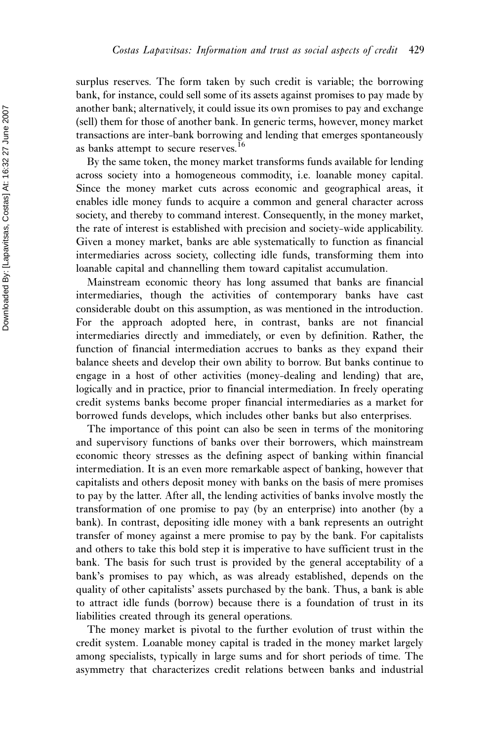surplus reserves. The form taken by such credit is variable; the borrowing bank, for instance, could sell some of its assets against promises to pay made by another bank; alternatively, it could issue its own promises to pay and exchange (sell) them for those of another bank. In generic terms, however, money market transactions are inter-bank borrowing and lending that emerges spontaneously as banks attempt to secure reserves.<sup>16</sup>

By the same token, the money market transforms funds available for lending across society into a homogeneous commodity, i.e. loanable money capital. Since the money market cuts across economic and geographical areas, it enables idle money funds to acquire a common and general character across society, and thereby to command interest. Consequently, in the money market, the rate of interest is established with precision and society-wide applicability. Given a money market, banks are able systematically to function as financial intermediaries across society, collecting idle funds, transforming them into loanable capital and channelling them toward capitalist accumulation.

Mainstream economic theory has long assumed that banks are financial intermediaries, though the activities of contemporary banks have cast considerable doubt on this assumption, as was mentioned in the introduction. For the approach adopted here, in contrast, banks are not financial intermediaries directly and immediately, or even by definition. Rather, the function of financial intermediation accrues to banks as they expand their balance sheets and develop their own ability to borrow. But banks continue to engage in a host of other activities (money-dealing and lending) that are, logically and in practice, prior to financial intermediation. In freely operating credit systems banks become proper financial intermediaries as a market for borrowed funds develops, which includes other banks but also enterprises.

The importance of this point can also be seen in terms of the monitoring and supervisory functions of banks over their borrowers, which mainstream economic theory stresses as the defining aspect of banking within financial intermediation. It is an even more remarkable aspect of banking, however that capitalists and others deposit money with banks on the basis of mere promises to pay by the latter. After all, the lending activities of banks involve mostly the transformation of one promise to pay (by an enterprise) into another (by a bank). In contrast, depositing idle money with a bank represents an outright transfer of money against a mere promise to pay by the bank. For capitalists and others to take this bold step it is imperative to have sufficient trust in the bank. The basis for such trust is provided by the general acceptability of a bank's promises to pay which, as was already established, depends on the quality of other capitalists' assets purchased by the bank. Thus, a bank is able to attract idle funds (borrow) because there is a foundation of trust in its liabilities created through its general operations.

The money market is pivotal to the further evolution of trust within the credit system. Loanable money capital is traded in the money market largely among specialists, typically in large sums and for short periods of time. The asymmetry that characterizes credit relations between banks and industrial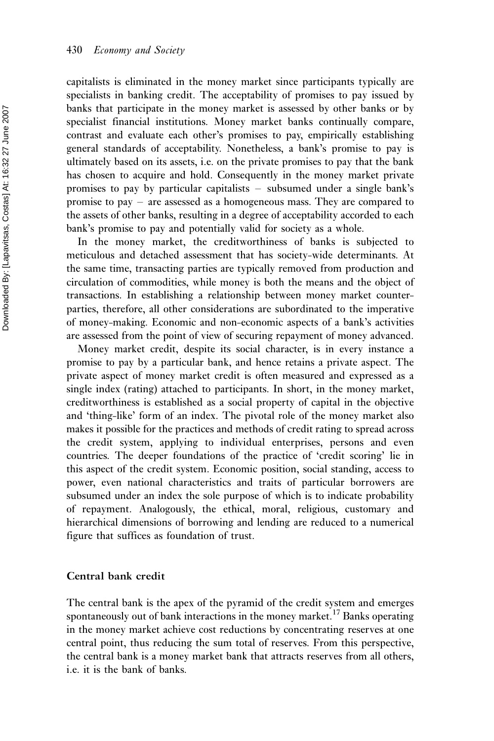capitalists is eliminated in the money market since participants typically are specialists in banking credit. The acceptability of promises to pay issued by banks that participate in the money market is assessed by other banks or by specialist financial institutions. Money market banks continually compare, contrast and evaluate each other's promises to pay, empirically establishing general standards of acceptability. Nonetheless, a bank's promise to pay is ultimately based on its assets, i.e. on the private promises to pay that the bank has chosen to acquire and hold. Consequently in the money market private promises to pay by particular capitalists  $-$  subsumed under a single bank's promise to  $pay - are assessed as a homogeneous mass. They are compared to$ the assets of other banks, resulting in a degree of acceptability accorded to each bank's promise to pay and potentially valid for society as a whole.

In the money market, the creditworthiness of banks is subjected to meticulous and detached assessment that has society-wide determinants. At the same time, transacting parties are typically removed from production and circulation of commodities, while money is both the means and the object of transactions. In establishing a relationship between money market counterparties, therefore, all other considerations are subordinated to the imperative of money-making. Economic and non-economic aspects of a bank's activities are assessed from the point of view of securing repayment of money advanced.

Money market credit, despite its social character, is in every instance a promise to pay by a particular bank, and hence retains a private aspect. The private aspect of money market credit is often measured and expressed as a single index (rating) attached to participants. In short, in the money market, creditworthiness is established as a social property of capital in the objective and 'thing-like' form of an index. The pivotal role of the money market also makes it possible for the practices and methods of credit rating to spread across the credit system, applying to individual enterprises, persons and even countries. The deeper foundations of the practice of 'credit scoring' lie in this aspect of the credit system. Economic position, social standing, access to power, even national characteristics and traits of particular borrowers are subsumed under an index the sole purpose of which is to indicate probability of repayment. Analogously, the ethical, moral, religious, customary and hierarchical dimensions of borrowing and lending are reduced to a numerical figure that suffices as foundation of trust.

#### Central bank credit

The central bank is the apex of the pyramid of the credit system and emerges spontaneously out of bank interactions in the money market.<sup>17</sup> Banks operating in the money market achieve cost reductions by concentrating reserves at one central point, thus reducing the sum total of reserves. From this perspective, the central bank is a money market bank that attracts reserves from all others, i.e. it is the bank of banks.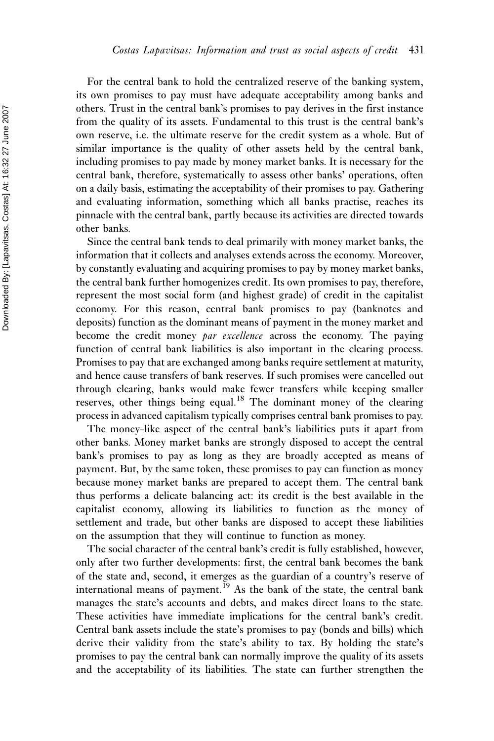For the central bank to hold the centralized reserve of the banking system, its own promises to pay must have adequate acceptability among banks and others. Trust in the central bank's promises to pay derives in the first instance from the quality of its assets. Fundamental to this trust is the central bank's own reserve, i.e. the ultimate reserve for the credit system as a whole. But of similar importance is the quality of other assets held by the central bank, including promises to pay made by money market banks. It is necessary for the central bank, therefore, systematically to assess other banks' operations, often on a daily basis, estimating the acceptability of their promises to pay. Gathering and evaluating information, something which all banks practise, reaches its pinnacle with the central bank, partly because its activities are directed towards other banks.

Since the central bank tends to deal primarily with money market banks, the information that it collects and analyses extends across the economy. Moreover, by constantly evaluating and acquiring promises to pay by money market banks, the central bank further homogenizes credit. Its own promises to pay, therefore, represent the most social form (and highest grade) of credit in the capitalist economy. For this reason, central bank promises to pay (banknotes and deposits) function as the dominant means of payment in the money market and become the credit money *par excellence* across the economy. The paying function of central bank liabilities is also important in the clearing process. Promises to pay that are exchanged among banks require settlement at maturity, and hence cause transfers of bank reserves. If such promises were cancelled out through clearing, banks would make fewer transfers while keeping smaller reserves, other things being equal.<sup>18</sup> The dominant money of the clearing process in advanced capitalism typically comprises central bank promises to pay.

The money-like aspect of the central bank's liabilities puts it apart from other banks. Money market banks are strongly disposed to accept the central bank's promises to pay as long as they are broadly accepted as means of payment. But, by the same token, these promises to pay can function as money because money market banks are prepared to accept them. The central bank thus performs a delicate balancing act: its credit is the best available in the capitalist economy, allowing its liabilities to function as the money of settlement and trade, but other banks are disposed to accept these liabilities on the assumption that they will continue to function as money.

The social character of the central bank's credit is fully established, however, only after two further developments: first, the central bank becomes the bank of the state and, second, it emerges as the guardian of a country's reserve of international means of payment.<sup>19</sup> As the bank of the state, the central bank manages the state's accounts and debts, and makes direct loans to the state. These activities have immediate implications for the central bank's credit. Central bank assets include the state's promises to pay (bonds and bills) which derive their validity from the state's ability to tax. By holding the state's promises to pay the central bank can normally improve the quality of its assets and the acceptability of its liabilities. The state can further strengthen the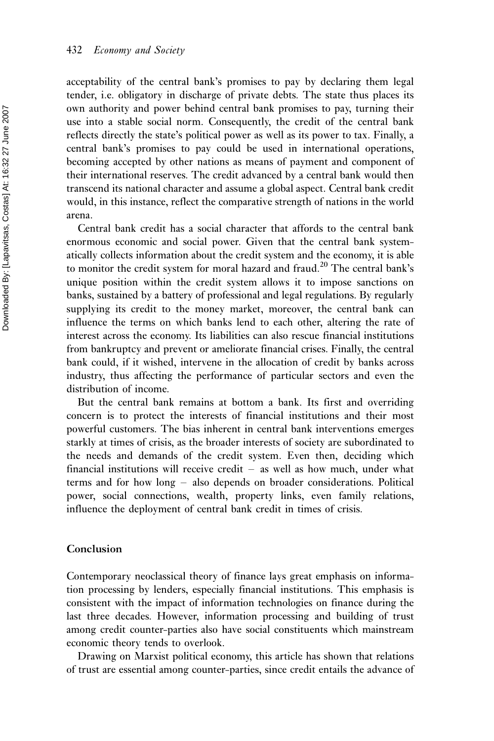acceptability of the central bank's promises to pay by declaring them legal tender, i.e. obligatory in discharge of private debts. The state thus places its own authority and power behind central bank promises to pay, turning their use into a stable social norm. Consequently, the credit of the central bank reflects directly the state's political power as well as its power to tax. Finally, a central bank's promises to pay could be used in international operations, becoming accepted by other nations as means of payment and component of their international reserves. The credit advanced by a central bank would then transcend its national character and assume a global aspect. Central bank credit would, in this instance, reflect the comparative strength of nations in the world arena.

Central bank credit has a social character that affords to the central bank enormous economic and social power. Given that the central bank systematically collects information about the credit system and the economy, it is able to monitor the credit system for moral hazard and fraud.<sup>20</sup> The central bank's unique position within the credit system allows it to impose sanctions on banks, sustained by a battery of professional and legal regulations. By regularly supplying its credit to the money market, moreover, the central bank can influence the terms on which banks lend to each other, altering the rate of interest across the economy. Its liabilities can also rescue financial institutions from bankruptcy and prevent or ameliorate financial crises. Finally, the central bank could, if it wished, intervene in the allocation of credit by banks across industry, thus affecting the performance of particular sectors and even the distribution of income.

But the central bank remains at bottom a bank. Its first and overriding concern is to protect the interests of financial institutions and their most powerful customers. The bias inherent in central bank interventions emerges starkly at times of crisis, as the broader interests of society are subordinated to the needs and demands of the credit system. Even then, deciding which financial institutions will receive credit  $-$  as well as how much, under what terms and for how  $long - also$  depends on broader considerations. Political power, social connections, wealth, property links, even family relations, influence the deployment of central bank credit in times of crisis.

# Conclusion

Contemporary neoclassical theory of finance lays great emphasis on information processing by lenders, especially financial institutions. This emphasis is consistent with the impact of information technologies on finance during the last three decades. However, information processing and building of trust among credit counter-parties also have social constituents which mainstream economic theory tends to overlook.

Drawing on Marxist political economy, this article has shown that relations of trust are essential among counter-parties, since credit entails the advance of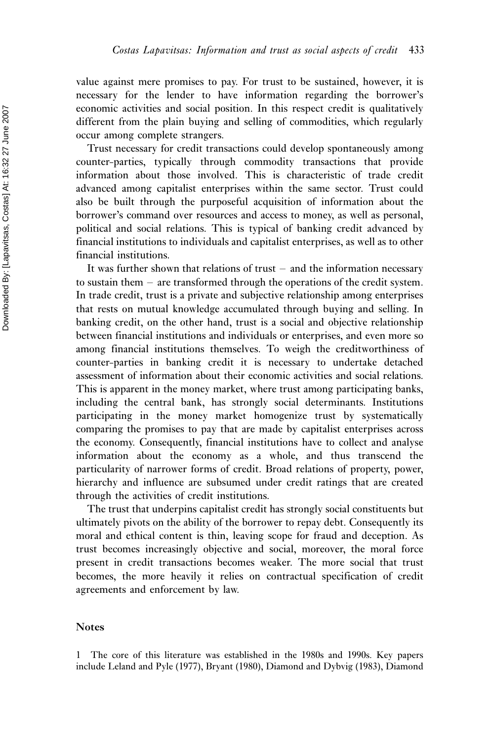value against mere promises to pay. For trust to be sustained, however, it is necessary for the lender to have information regarding the borrower's economic activities and social position. In this respect credit is qualitatively different from the plain buying and selling of commodities, which regularly occur among complete strangers.

Trust necessary for credit transactions could develop spontaneously among counter-parties, typically through commodity transactions that provide information about those involved. This is characteristic of trade credit advanced among capitalist enterprises within the same sector. Trust could also be built through the purposeful acquisition of information about the borrower's command over resources and access to money, as well as personal, political and social relations. This is typical of banking credit advanced by financial institutions to individuals and capitalist enterprises, as well as to other financial institutions.

It was further shown that relations of trust  $-$  and the information necessary to sustain them  $-$  are transformed through the operations of the credit system. In trade credit, trust is a private and subjective relationship among enterprises that rests on mutual knowledge accumulated through buying and selling. In banking credit, on the other hand, trust is a social and objective relationship between financial institutions and individuals or enterprises, and even more so among financial institutions themselves. To weigh the creditworthiness of counter-parties in banking credit it is necessary to undertake detached assessment of information about their economic activities and social relations. This is apparent in the money market, where trust among participating banks, including the central bank, has strongly social determinants. Institutions participating in the money market homogenize trust by systematically comparing the promises to pay that are made by capitalist enterprises across the economy. Consequently, financial institutions have to collect and analyse information about the economy as a whole, and thus transcend the particularity of narrower forms of credit. Broad relations of property, power, hierarchy and influence are subsumed under credit ratings that are created through the activities of credit institutions.

The trust that underpins capitalist credit has strongly social constituents but ultimately pivots on the ability of the borrower to repay debt. Consequently its moral and ethical content is thin, leaving scope for fraud and deception. As trust becomes increasingly objective and social, moreover, the moral force present in credit transactions becomes weaker. The more social that trust becomes, the more heavily it relies on contractual specification of credit agreements and enforcement by law.

## Notes

<sup>1</sup> The core of this literature was established in the 1980s and 1990s. Key papers include Leland and Pyle (1977), Bryant (1980), Diamond and Dybvig (1983), Diamond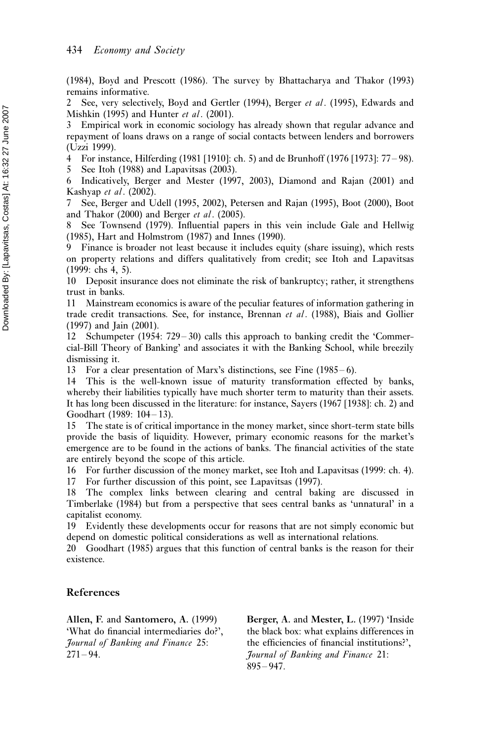(1984), Boyd and Prescott (1986). The survey by Bhattacharya and Thakor (1993) remains informative.

See, very selectively, Boyd and Gertler (1994), Berger et al. (1995), Edwards and Mishkin (1995) and Hunter et al. (2001).

Empirical work in economic sociology has already shown that regular advance and repayment of loans draws on a range of social contacts between lenders and borrowers (Uzzi 1999).

4 For instance, Hilferding (1981 [1910]: ch. 5) and de Brunhoff (1976 [1973]: 77 98). 5 See Itoh (1988) and Lapavitsas (2003).

6 Indicatively, Berger and Mester (1997, 2003), Diamond and Rajan (2001) and Kashyap et al. (2002).

7 See, Berger and Udell (1995, 2002), Petersen and Rajan (1995), Boot (2000), Boot and Thakor (2000) and Berger  $et$  al. (2005).

8 See Townsend (1979). Influential papers in this vein include Gale and Hellwig (1985), Hart and Holmstrom (1987) and Innes (1990).

9 Finance is broader not least because it includes equity (share issuing), which rests on property relations and differs qualitatively from credit; see Itoh and Lapavitsas (1999: chs 4, 5).

10 Deposit insurance does not eliminate the risk of bankruptcy; rather, it strengthens trust in banks.

11 Mainstream economics is aware of the peculiar features of information gathering in trade credit transactions. See, for instance, Brennan et al. (1988), Biais and Gollier (1997) and Jain (2001).

12 Schumpeter (1954: 729–30) calls this approach to banking credit the 'Commercial-Bill Theory of Banking' and associates it with the Banking School, while breezily dismissing it.

13 For a clear presentation of Marx's distinctions, see Fine (1985–6).

14 This is the well-known issue of maturity transformation effected by banks, whereby their liabilities typically have much shorter term to maturity than their assets. It has long been discussed in the literature: for instance, Sayers (1967 [1938]: ch. 2) and Goodhart (1989: 104-13).

15 The state is of critical importance in the money market, since short-term state bills provide the basis of liquidity. However, primary economic reasons for the market's emergence are to be found in the actions of banks. The financial activities of the state are entirely beyond the scope of this article.

16 For further discussion of the money market, see Itoh and Lapavitsas (1999: ch. 4).

17 For further discussion of this point, see Lapavitsas (1997).

18 The complex links between clearing and central baking are discussed in Timberlake (1984) but from a perspective that sees central banks as 'unnatural' in a capitalist economy.

19 Evidently these developments occur for reasons that are not simply economic but depend on domestic political considerations as well as international relations.

20 Goodhart (1985) argues that this function of central banks is the reason for their existence.

# References

Allen, F. and Santomero, A. (1999) 'What do financial intermediaries do?', Journal of Banking and Finance 25:  $271 - 94.$ 

Berger, A. and Mester, L. (1997) 'Inside the black box: what explains differences in the efficiencies of financial institutions?', Journal of Banking and Finance 21:  $895 - 947.$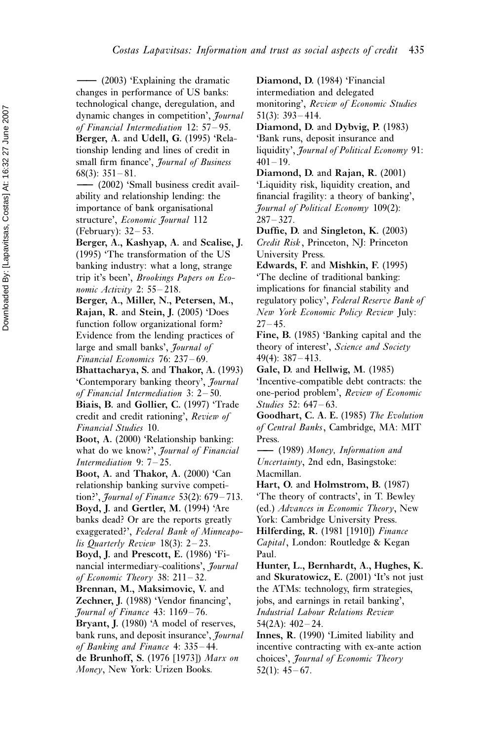$\rightarrow$  (2003) 'Explaining the dramatic changes in performance of US banks: technological change, deregulation, and dynamic changes in competition', Journal of Financial Intermediation 12: 57–95. Berger, A. and Udell, G. (1995) 'Relationship lending and lines of credit in small firm finance', Journal of Business  $68(3)$ : 351 - 81. - (2002) 'Small business credit availability and relationship lending: the importance of bank organisational structure', Economic Journal 112 (February):  $32-53$ . Berger, A., Kashyap, A. and Scalise, J. (1995) 'The transformation of the US banking industry: what a long, strange trip it's been', Brookings Papers on Economic Activity 2:  $55-218$ . Berger, A., Miller, N., Petersen, M., Rajan, R. and Stein, J. (2005) 'Does function follow organizational form? Evidence from the lending practices of large and small banks', Journal of Financial Economics 76: 237-69. Bhattacharya, S. and Thakor, A. (1993) 'Contemporary banking theory', Journal of Financial Intermediation  $3: 2-50$ . Biais, B. and Gollier, C. (1997) 'Trade credit and credit rationing', Review of Financial Studies 10. Boot, A. (2000) 'Relationship banking: what do we know?', Journal of Financial Intermediation 9:  $7-25$ . Boot, A. and Thakor, A. (2000) 'Can relationship banking survive competition?', Journal of Finance 53(2):  $679-713$ . Boyd, J. and Gertler, M. (1994) 'Are banks dead? Or are the reports greatly exaggerated?', Federal Bank of Minneapolis Quarterly Review 18(3):  $2-23$ . Boyd, J. and Prescott, E. (1986) 'Financial intermediary-coalitions', Journal of Economic Theory 38:  $211-32$ . Brennan, M., Maksimovic, V. and Zechner, J. (1988) 'Vendor financing',  $Journal of Finance 43: 1169-76.$ Bryant, J. (1980) 'A model of reserves, bank runs, and deposit insurance', *Journal* of Banking and Finance 4: 335–44. de Brunhoff, S. (1976 [1973]) Marx on Money, New York: Urizen Books.

Diamond, D. (1984) 'Financial intermediation and delegated monitoring', Review of Economic Studies  $51(3): 393 - 414.$ Diamond, D. and Dybvig, P. (1983) 'Bank runs, deposit insurance and liquidity', Journal of Political Economy 91:  $401 - 19$ . Diamond, D. and Rajan, R. (2001) 'Liquidity risk, liquidity creation, and financial fragility: a theory of banking', Journal of Political Economy 109(2):  $287 - 327$ . Duffie, D. and Singleton, K. (2003) Credit Risk , Princeton, NJ: Princeton University Press. Edwards, F. and Mishkin, F. (1995) 'The decline of traditional banking: implications for financial stability and regulatory policy', Federal Reserve Bank of New York Economic Policy Review July:  $27 - 45$ . Fine, B. (1985) 'Banking capital and the theory of interest', Science and Society  $49(4): 387 - 413.$ Gale, D. and Hellwig, M. (1985) 'Incentive-compatible debt contracts: the one-period problem', Review of Economic Studies 52:  $647 - 63$ . Goodhart, C. A. E. (1985) The Evolution of Central Banks, Cambridge, MA: MIT Press.  $\rightarrow$  (1989) Money, Information and Uncertainty, 2nd edn, Basingstoke: Macmillan. Hart, O. and Holmstrom, B. (1987) 'The theory of contracts', in T. Bewley (ed.) Advances in Economic Theory, New York: Cambridge University Press. Hilferding, R. (1981 [1910]) Finance Capital, London: Routledge & Kegan Paul. Hunter, L., Bernhardt, A., Hughes, K. and Skuratowicz, E. (2001) 'It's not just the ATMs: technology, firm strategies, jobs, and earnings in retail banking', Industrial Labour Relations Review  $54(2A): 402 - 24.$ Innes, R. (1990) 'Limited liability and

incentive contracting with ex-ante action choices', Journal of Economic Theory  $52(1): 45 - 67.$